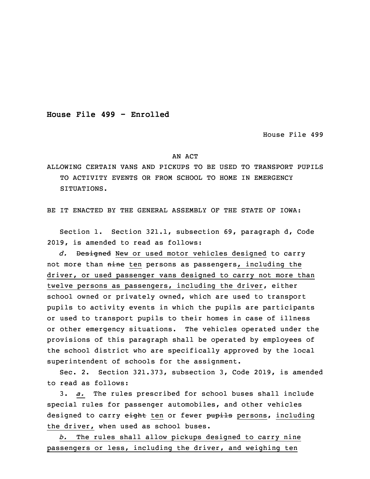**House File 499 - Enrolled**

House File 499

## AN ACT

ALLOWING CERTAIN VANS AND PICKUPS TO BE USED TO TRANSPORT PUPILS TO ACTIVITY EVENTS OR FROM SCHOOL TO HOME IN EMERGENCY SITUATIONS.

BE IT ENACTED BY THE GENERAL ASSEMBLY OF THE STATE OF IOWA:

 Section 1. Section 321.1, subsection 69, paragraph d, Code 2019, is amended to read as follows:

d. Designed New or used motor vehicles designed to carry not more than nine ten persons as passengers, including the driver, or used passenger vans designed to carry not more than twelve persons as passengers, including the driver, either school owned or privately owned, which are used to transport pupils to activity events in which the pupils are participants or used to transport pupils to their homes in case of illness or other emergency situations. The vehicles operated under the provisions of this paragraph shall be operated by employees of the school district who are specifically approved by the local superintendent of schools for the assignment.

 Sec. 2. Section 321.373, subsection 3, Code 2019, is amended to read as follows:

16 3. *a.* The rules prescribed for school buses shall include special rules for passenger automobiles, and other vehicles designed to carry eight ten or fewer pupils persons, including the driver, when used as school buses.

b. The rules shall allow pickups designed to carry nine passengers or less, including the driver, and weighing ten